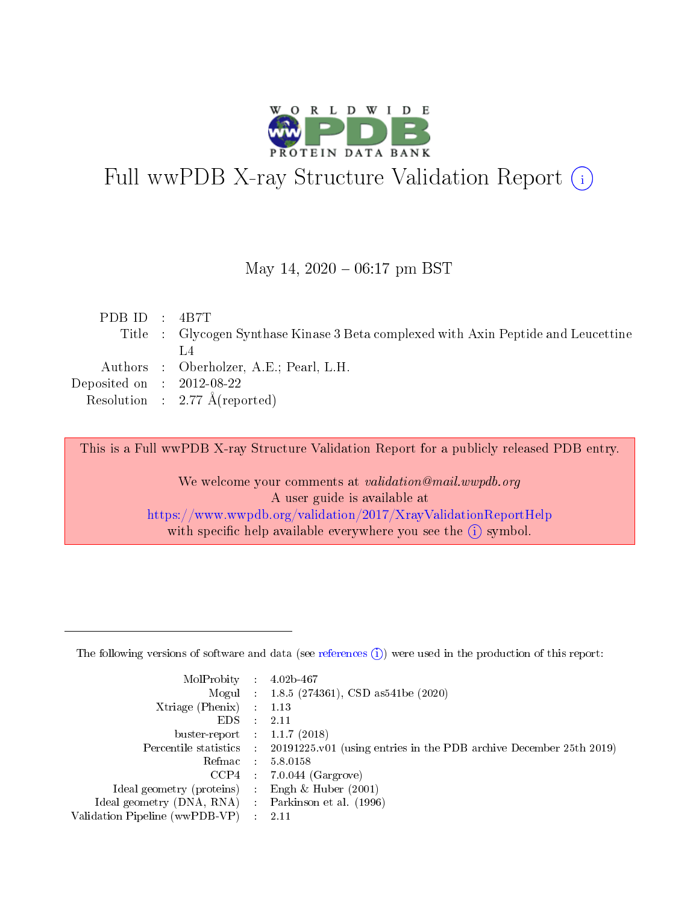

# Full wwPDB X-ray Structure Validation Report (i)

#### May 14,  $2020 - 06:17$  pm BST

| PDBID : 4B7T                         |                                                                                    |
|--------------------------------------|------------------------------------------------------------------------------------|
|                                      | Title : Glycogen Synthase Kinase 3 Beta complexed with Axin Peptide and Leucettine |
|                                      |                                                                                    |
|                                      | Authors : Oberholzer, A.E.; Pearl, L.H.                                            |
| Deposited on $\therefore$ 2012-08-22 |                                                                                    |
|                                      | Resolution : $2.77 \text{ Å}$ (reported)                                           |
|                                      |                                                                                    |

This is a Full wwPDB X-ray Structure Validation Report for a publicly released PDB entry.

We welcome your comments at validation@mail.wwpdb.org A user guide is available at <https://www.wwpdb.org/validation/2017/XrayValidationReportHelp> with specific help available everywhere you see the  $(i)$  symbol.

The following versions of software and data (see [references](https://www.wwpdb.org/validation/2017/XrayValidationReportHelp#references)  $(1)$ ) were used in the production of this report:

| MolProbity :                   |   | $4.02b - 467$                                                                              |
|--------------------------------|---|--------------------------------------------------------------------------------------------|
|                                |   | Mogul : 1.8.5 (274361), CSD as 541be (2020)                                                |
| $X$ triage (Phenix) :          |   | 1.13                                                                                       |
| EDS.                           |   | 2.11                                                                                       |
| buster-report : $1.1.7(2018)$  |   |                                                                                            |
|                                |   | Percentile statistics : 20191225.v01 (using entries in the PDB archive December 25th 2019) |
| Refmac                         |   | 5.8.0158                                                                                   |
| CCP4                           |   | $7.0.044$ (Gargrove)                                                                       |
| Ideal geometry (proteins) :    |   | Engh $\&$ Huber (2001)                                                                     |
| Ideal geometry (DNA, RNA) :    |   | Parkinson et al. (1996)                                                                    |
| Validation Pipeline (wwPDB-VP) | ÷ | 2.11                                                                                       |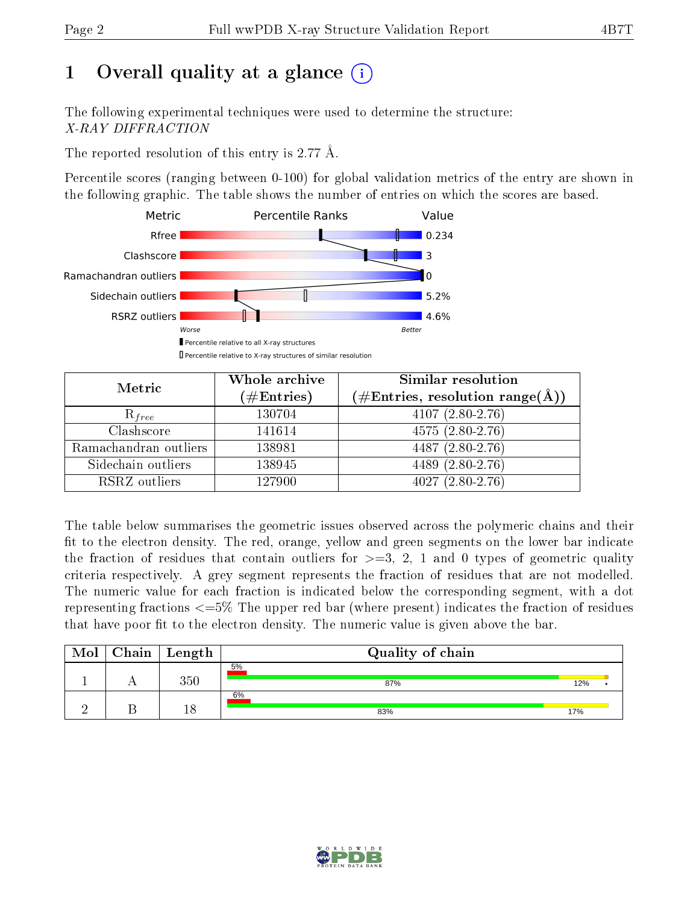# 1 [O](https://www.wwpdb.org/validation/2017/XrayValidationReportHelp#overall_quality)verall quality at a glance  $(i)$

The following experimental techniques were used to determine the structure: X-RAY DIFFRACTION

The reported resolution of this entry is 2.77 Å.

Percentile scores (ranging between 0-100) for global validation metrics of the entry are shown in the following graphic. The table shows the number of entries on which the scores are based.



| Metric                | Whole archive<br>$(\#\text{Entries})$ | Similar resolution<br>$(\#\text{Entries}, \text{resolution range}(\text{\AA}))$ |  |  |
|-----------------------|---------------------------------------|---------------------------------------------------------------------------------|--|--|
| $R_{free}$            | 130704                                | $4107(2.80-2.76)$                                                               |  |  |
| Clashscore            | 141614                                | $4575(2.80-2.76)$                                                               |  |  |
| Ramachandran outliers | 138981                                | 4487 (2.80-2.76)                                                                |  |  |
| Sidechain outliers    | 138945                                | 4489 (2.80-2.76)                                                                |  |  |
| RSRZ outliers         | 127900                                | $4027(2.80-2.76)$                                                               |  |  |

The table below summarises the geometric issues observed across the polymeric chains and their fit to the electron density. The red, orange, yellow and green segments on the lower bar indicate the fraction of residues that contain outliers for  $>=3, 2, 1$  and 0 types of geometric quality criteria respectively. A grey segment represents the fraction of residues that are not modelled. The numeric value for each fraction is indicated below the corresponding segment, with a dot representing fractions  $\epsilon=5\%$  The upper red bar (where present) indicates the fraction of residues that have poor fit to the electron density. The numeric value is given above the bar.

| Mol | ${\bf Chain \mid Length}$ | Quality of chain |     |  |
|-----|---------------------------|------------------|-----|--|
|     | $350\,$                   | 5%<br>87%        | 12% |  |
|     |                           | 6%<br>83%        | 17% |  |

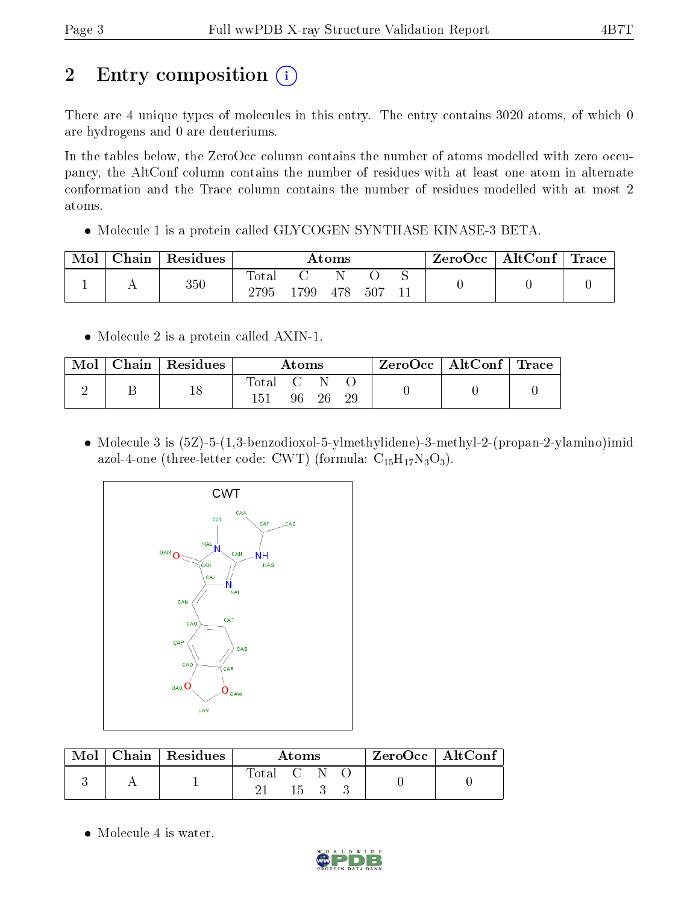# 2 Entry composition  $\left( \cdot \right)$

There are 4 unique types of molecules in this entry. The entry contains 3020 atoms, of which 0 are hydrogens and 0 are deuteriums.

In the tables below, the ZeroOcc column contains the number of atoms modelled with zero occupancy, the AltConf column contains the number of residues with at least one atom in alternate conformation and the Trace column contains the number of residues modelled with at most 2 atoms.

• Molecule 1 is a protein called GLYCOGEN SYNTHASE KINASE-3 BETA.

| Mol | Chain | Residues | Atoms                |     |     | $\rm{ZeroOcc} \mid \rm{AltConf} \mid \rm{Trace}$ |  |  |  |
|-----|-------|----------|----------------------|-----|-----|--------------------------------------------------|--|--|--|
|     |       | $350\,$  | $\rm{Total}$<br>2795 | 799 | 478 | 507                                              |  |  |  |

• Molecule 2 is a protein called AXIN-1.

| Mol | Chain   Residues | Atoms   |       |  | $\text{ZeroOcc}$   AltConf   Trace |  |
|-----|------------------|---------|-------|--|------------------------------------|--|
|     | 18               | Total C | 96 26 |  |                                    |  |

 Molecule 3 is (5Z)-5-(1,3-benzodioxol-5-ylmethylidene)-3-methyl-2-(propan-2-ylamino)imid azol-4-one (three-letter code: CWT) (formula:  $C_{15}H_{17}N_3O_3$ ).



|  | Mol   Chain   Residues | Atoms     |      |  | ZeroOcc   AltConf |  |
|--|------------------------|-----------|------|--|-------------------|--|
|  |                        | Total C N | 15 3 |  |                   |  |

• Molecule 4 is water.

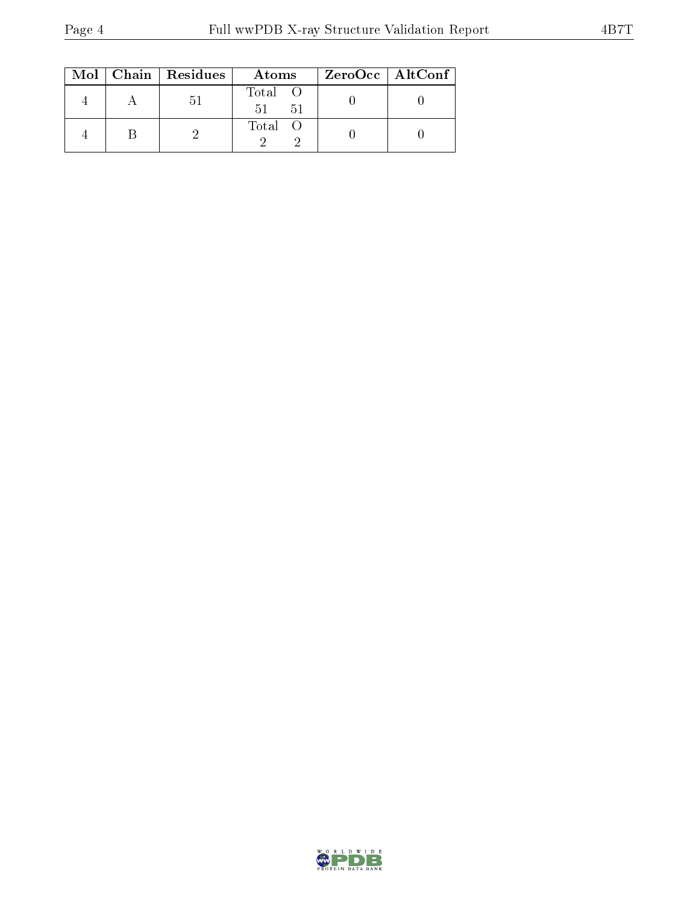|  | $Mol$   Chain   Residues | Atoms               | $ZeroOcc \   \ AltConf$ |  |
|--|--------------------------|---------------------|-------------------------|--|
|  | $\mathcal{D}$ 1          | Total O<br>51<br>51 |                         |  |
|  |                          | Total O             |                         |  |

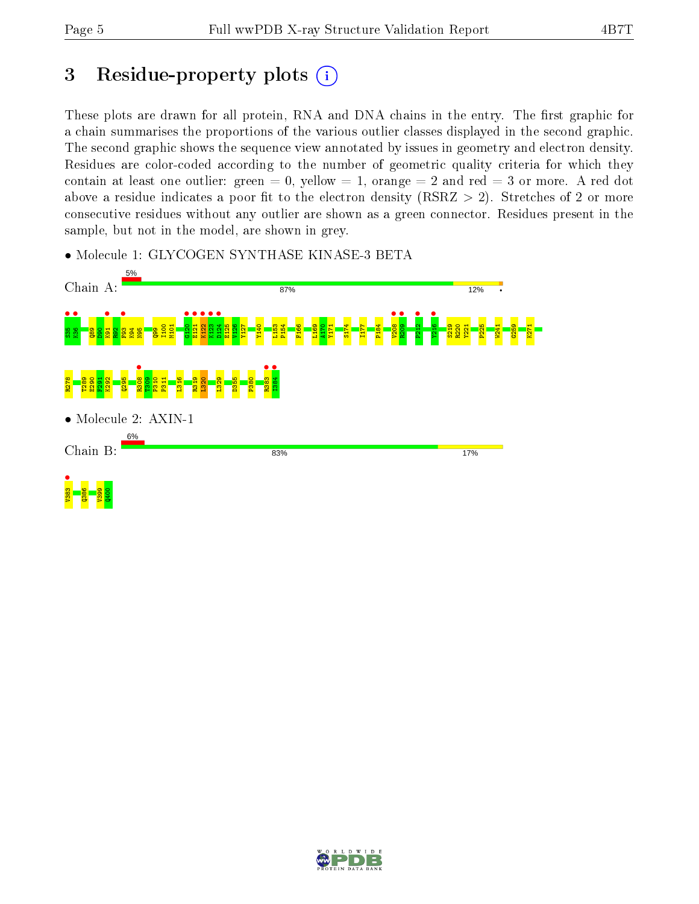## 3 Residue-property plots  $(i)$

These plots are drawn for all protein, RNA and DNA chains in the entry. The first graphic for a chain summarises the proportions of the various outlier classes displayed in the second graphic. The second graphic shows the sequence view annotated by issues in geometry and electron density. Residues are color-coded according to the number of geometric quality criteria for which they contain at least one outlier: green  $= 0$ , yellow  $= 1$ , orange  $= 2$  and red  $= 3$  or more. A red dot above a residue indicates a poor fit to the electron density (RSRZ  $> 2$ ). Stretches of 2 or more consecutive residues without any outlier are shown as a green connector. Residues present in the sample, but not in the model, are shown in grey.

• Molecule 1: GLYCOGEN SYNTHASE KINASE-3 BETA



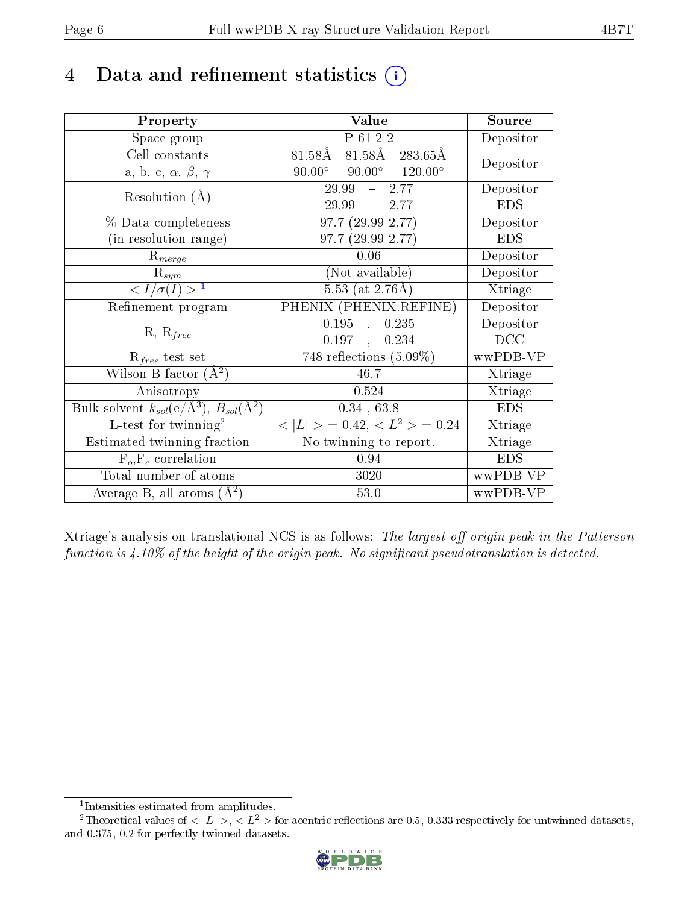## 4 Data and refinement statistics  $(i)$

| Property                                                                 | Value                                            | Source     |
|--------------------------------------------------------------------------|--------------------------------------------------|------------|
| Space group                                                              | P 61 2 2                                         | Depositor  |
| Cell constants                                                           | 81.58Å 283.65Å<br>81.58Å                         | Depositor  |
| a, b, c, $\alpha$ , $\beta$ , $\gamma$                                   | $90.00^{\circ}$ $90.00^{\circ}$ $120.00^{\circ}$ |            |
| Resolution $(A)$                                                         | $29.99$ <sup>-7</sup><br>$-2.77$                 | Depositor  |
|                                                                          | $-2.77$<br>29.99                                 | <b>EDS</b> |
| % Data completeness                                                      | $97.7(29.99-2.77)$                               | Depositor  |
| (in resolution range)                                                    | 97.7 (29.99-2.77)                                | <b>EDS</b> |
| $R_{merge}$                                                              | 0.06                                             | Depositor  |
| $\mathrm{R}_{sym}$                                                       | (Not available)                                  | Depositor  |
| $\langle I/\sigma(I) \rangle^{-1}$                                       | $5.53$ (at 2.76Å)                                | Xtriage    |
| Refinement program                                                       | PHENIX (PHENIX.REFINE)                           | Depositor  |
|                                                                          | 0.195<br>0.235<br>$\mathcal{L}$                  | Depositor  |
| $R, R_{free}$                                                            | 0.197,<br>0.234                                  | DCC        |
| $R_{free}$ test set                                                      | $\overline{748}$ reflections $(5.09\%)$          | wwPDB-VP   |
| Wilson B-factor $(A^2)$                                                  | 46.7                                             | Xtriage    |
| Anisotropy                                                               | 0.524                                            | Xtriage    |
| Bulk solvent $k_{sol}(\mathrm{e}/\mathrm{A}^3),$ $B_{sol}(\mathrm{A}^2)$ | 0.34, 63.8                                       | <b>EDS</b> |
| L-test for twinning <sup>2</sup>                                         | $< L >$ = 0.42, $< L^2 >$ = 0.24                 | Xtriage    |
| Estimated twinning fraction                                              | $\overline{\text{No}}$ twinning to report.       | Xtriage    |
| $F_o, F_c$ correlation                                                   | 0.94                                             | <b>EDS</b> |
| Total number of atoms                                                    | 3020                                             | wwPDB-VP   |
| Average B, all atoms $(A^2)$                                             | 53.0                                             | wwPDB-VP   |

Xtriage's analysis on translational NCS is as follows: The largest off-origin peak in the Patterson function is  $4.10\%$  of the height of the origin peak. No significant pseudotranslation is detected.

<sup>&</sup>lt;sup>2</sup>Theoretical values of  $\langle |L| \rangle$ ,  $\langle L^2 \rangle$  for acentric reflections are 0.5, 0.333 respectively for untwinned datasets, and 0.375, 0.2 for perfectly twinned datasets.



<span id="page-5-1"></span><span id="page-5-0"></span><sup>1</sup> Intensities estimated from amplitudes.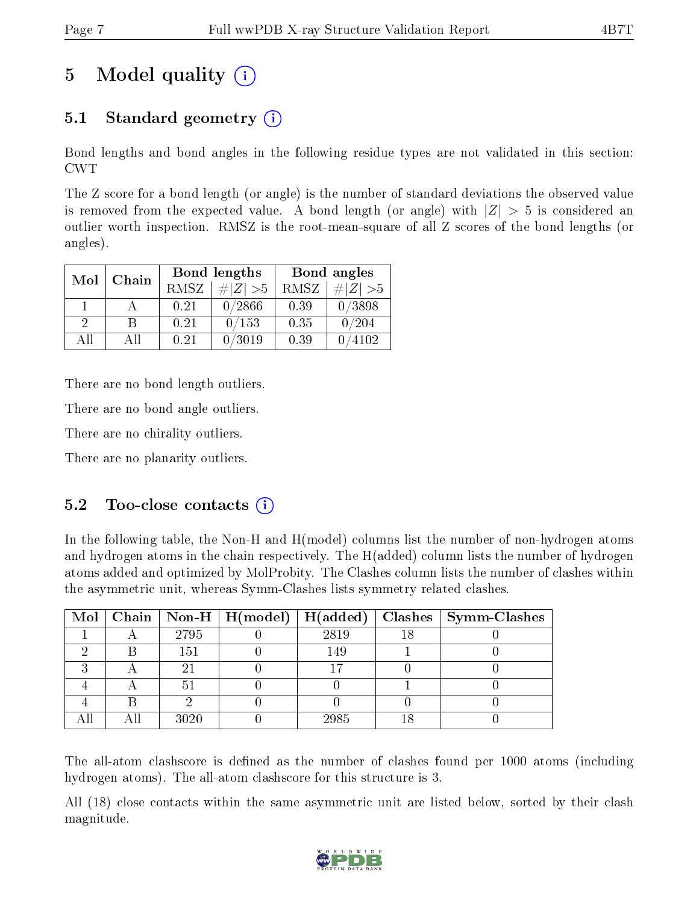## 5 Model quality  $(i)$

## 5.1 Standard geometry  $(i)$

Bond lengths and bond angles in the following residue types are not validated in this section: CWT

The Z score for a bond length (or angle) is the number of standard deviations the observed value is removed from the expected value. A bond length (or angle) with  $|Z| > 5$  is considered an outlier worth inspection. RMSZ is the root-mean-square of all Z scores of the bond lengths (or angles).

| Mol           | Chain |      | <b>Bond lengths</b> | Bond angles |             |  |
|---------------|-------|------|---------------------|-------------|-------------|--|
|               |       | RMSZ | $\# Z  > 5$         | RMSZ        | $\# Z  > 5$ |  |
|               |       | 0.21 | 0/2866              | 0.39        | 0/3898      |  |
| $\mathcal{D}$ | R     | 0.21 | 0/153               | 0.35        | 0/204       |  |
| АH            | АĦ    | 0.21 | 0/3019              | 0.39        | 4102        |  |

There are no bond length outliers.

There are no bond angle outliers.

There are no chirality outliers.

There are no planarity outliers.

### $5.2$  Too-close contacts  $(i)$

In the following table, the Non-H and H(model) columns list the number of non-hydrogen atoms and hydrogen atoms in the chain respectively. The H(added) column lists the number of hydrogen atoms added and optimized by MolProbity. The Clashes column lists the number of clashes within the asymmetric unit, whereas Symm-Clashes lists symmetry related clashes.

|  |               |      | Mol   Chain   Non-H   H(model)   H(added)   Clashes   Symm-Clashes |
|--|---------------|------|--------------------------------------------------------------------|
|  | 2795          | 2819 |                                                                    |
|  | 151           | 149  |                                                                    |
|  |               |      |                                                                    |
|  | $\mathcal{D}$ |      |                                                                    |
|  |               |      |                                                                    |
|  | 3020          | 2985 |                                                                    |

The all-atom clashscore is defined as the number of clashes found per 1000 atoms (including hydrogen atoms). The all-atom clashscore for this structure is 3.

All (18) close contacts within the same asymmetric unit are listed below, sorted by their clash magnitude.

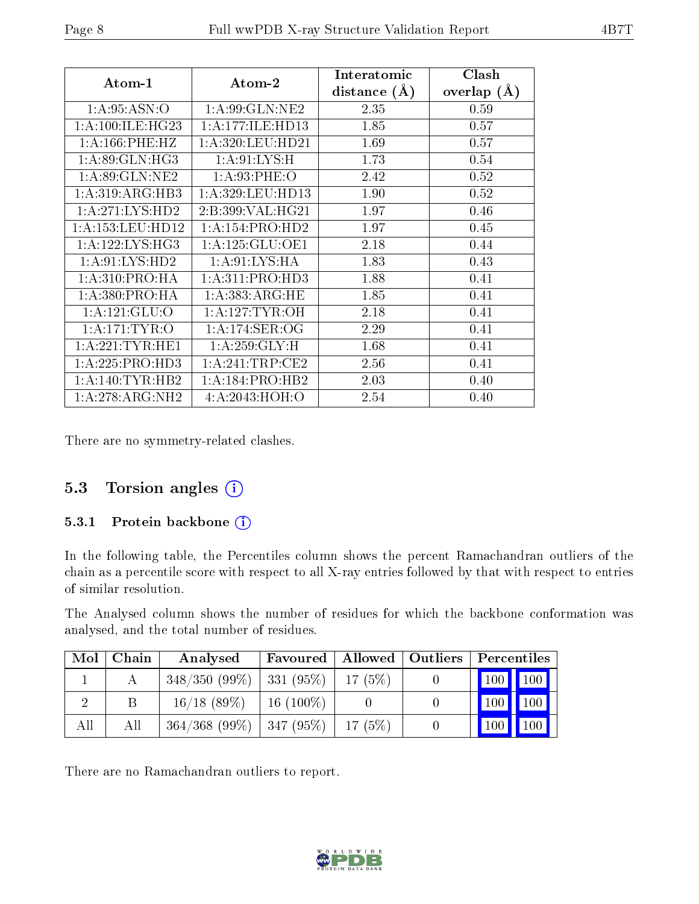| Atom-1               | $\boldsymbol{\mathrm{Atom}\text{-}2}$ | Interatomic    | Clash           |
|----------------------|---------------------------------------|----------------|-----------------|
|                      |                                       | distance $(A)$ | overlap $(\AA)$ |
| 1: A:95: ASN:O       | 1: A:99: GLN: NE2                     | 2.35           | 0.59            |
| 1: A:100: ILE: HG23  | 1:A:177:ILE:HD13                      | 1.85           | 0.57            |
| 1: A: 166: PHE: HZ   | 1:A:320:LEU:HD21                      | 1.69           | 0.57            |
| 1: A:89: GLN: HG3    | 1: A:91: LYS:H                        | 1.73           | 0.54            |
| 1:A:89:GLN:NE2       | 1: A:93:PHE:O                         | 2.42           | 0.52            |
| 1:A:319:ARG:HB3      | 1: A: 329: LEU: HD13                  | 1.90           | 0.52            |
| 1:A:271:LYS:HD2      | 2:B:399:VAL:HG21                      | 1.97           | 0.46            |
| 1: A: 153: LEU: HD12 | 1:A:154:PRO:HD2                       | 1.97           | 0.45            |
| 1: A:122: LYS: HG3   | 1: A: 125: GLU: OE1                   | 2.18           | 0.44            |
| 1: A:91: LYS: HD2    | 1: A:91:LYS:HA                        | 1.83           | 0.43            |
| 1: A:310: PRO:HA     | 1:A:311:PRO:HD3                       | 1.88           | 0.41            |
| 1:A:380:PRO:HA       | 1:A:383:ARG:HE                        | 1.85           | 0.41            |
| 1: A: 121: GLU: O    | 1: A:127:TYR:OH                       | 2.18           | 0.41            |
| 1: A:171:TYR:O       | 1:A:174:SER:OG                        | 2.29           | 0.41            |
| 1: A:221:TYR:HE1     | 1: A:259: GLY: H                      | 1.68           | 0.41            |
| 1: A:225: PRO:HD3    | 1: A:241:TRP:CE2                      | 2.56           | 0.41            |
| 1: A:140: TYR: HB2   | 1:A:184:PRO:HB2                       | 2.03           | 0.40            |
| 1:A:278:ARG:NH2      | 4:A:2043:HOH:O                        | 2.54           | 0.40            |

There are no symmetry-related clashes.

### 5.3 Torsion angles (i)

#### 5.3.1 Protein backbone (i)

In the following table, the Percentiles column shows the percent Ramachandran outliers of the chain as a percentile score with respect to all X-ray entries followed by that with respect to entries of similar resolution.

The Analysed column shows the number of residues for which the backbone conformation was analysed, and the total number of residues.

| Mol | Chain | Analysed                      |             |        | Favoured   Allowed   Outliers   Percentiles |
|-----|-------|-------------------------------|-------------|--------|---------------------------------------------|
|     |       | $348/350(99\%)$   331 (95\%)  |             | 17(5%) | $\mid$ 100 $\mid$ 100 $\mid$                |
|     |       | $16/18$ (89\%)                | $16(100\%)$ |        | 100<br>$ 100\rangle$                        |
| All | All   | $364/368$ (99\%)   347 (95\%) |             | 17(5%) | 100<br>100 <sub>h</sub>                     |

There are no Ramachandran outliers to report.

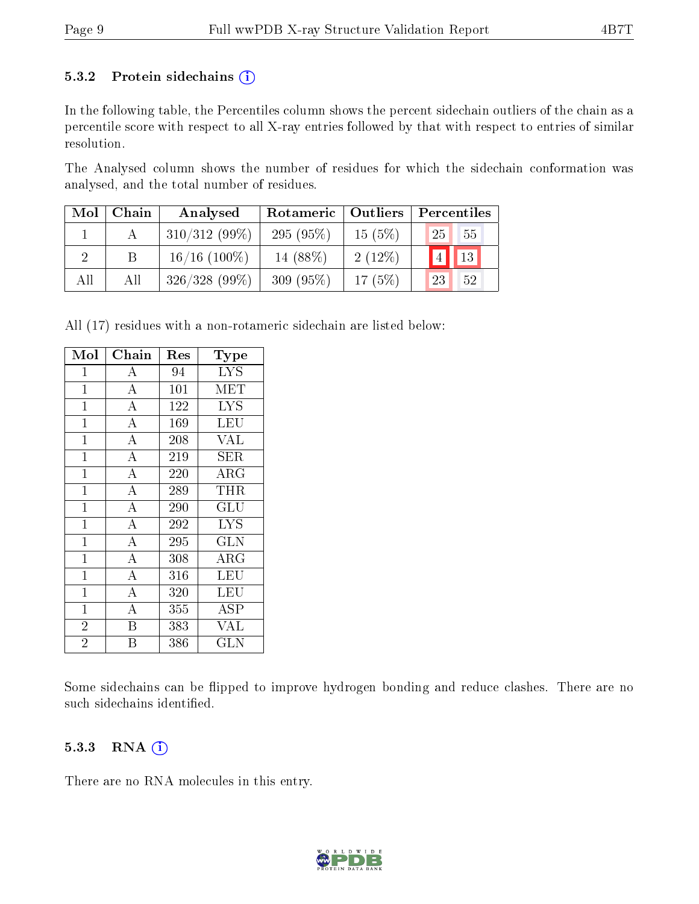#### 5.3.2 Protein sidechains  $(i)$

In the following table, the Percentiles column shows the percent sidechain outliers of the chain as a percentile score with respect to all X-ray entries followed by that with respect to entries of similar resolution.

The Analysed column shows the number of residues for which the sidechain conformation was analysed, and the total number of residues.

| Mol | Chain | Analysed        | Rotameric   | Outliers | Percentiles                     |  |  |
|-----|-------|-----------------|-------------|----------|---------------------------------|--|--|
|     |       | $310/312(99\%)$ | $295(95\%)$ | 15(5%)   | $55^{\circ}$<br>25 <sup>1</sup> |  |  |
|     |       | $16/16$ (100%)  | 14 (88\%)   | 2(12%)   | $\sqrt{4}$ 13                   |  |  |
| All | All   | $326/328(99\%)$ | $309(95\%)$ | 17(5%)   | 52<br>23                        |  |  |

All (17) residues with a non-rotameric sidechain are listed below:

| Mol            | Chain              | Res | Type         |
|----------------|--------------------|-----|--------------|
| 1              | А                  | 94  | <b>LYS</b>   |
| $\mathbf 1$    | $\overline{\rm A}$ | 101 | MET          |
| $\mathbf{1}$   | $\overline{A}$     | 122 | <b>LYS</b>   |
| $\mathbf{1}$   | $\bf{A}$           | 169 | LEU          |
| $\mathbf{1}$   | $\overline{\rm A}$ | 208 | VAL          |
| $\mathbf{1}$   | $\overline{\rm A}$ | 219 | SER          |
| $\overline{1}$ | $\overline{\rm A}$ | 220 | $\rm{ARG}$   |
| $\mathbf 1$    | $\overline{\rm A}$ | 289 | THR          |
| $\mathbf{1}$   | $\overline{\rm A}$ | 290 | GLU          |
| $\mathbf{1}$   | $\overline{\rm A}$ | 292 | <b>LYS</b>   |
| $\mathbf{1}$   | $\bf{A}$           | 295 | <b>GLN</b>   |
| $\overline{1}$ | $\overline{\rm A}$ | 308 | ARG          |
| $\mathbf{1}$   | $\overline{A}$     | 316 | <b>LEU</b>   |
| $\mathbf{1}$   | $\overline{\rm A}$ | 320 | LEU          |
| $\mathbf{1}$   | $\overline{A}$     | 355 | ASP          |
| $\overline{2}$ | B                  | 383 | VAL          |
| $\overline{2}$ | В                  | 386 | $_{\rm GLN}$ |

Some sidechains can be flipped to improve hydrogen bonding and reduce clashes. There are no such sidechains identified.

#### 5.3.3 RNA (i)

There are no RNA molecules in this entry.

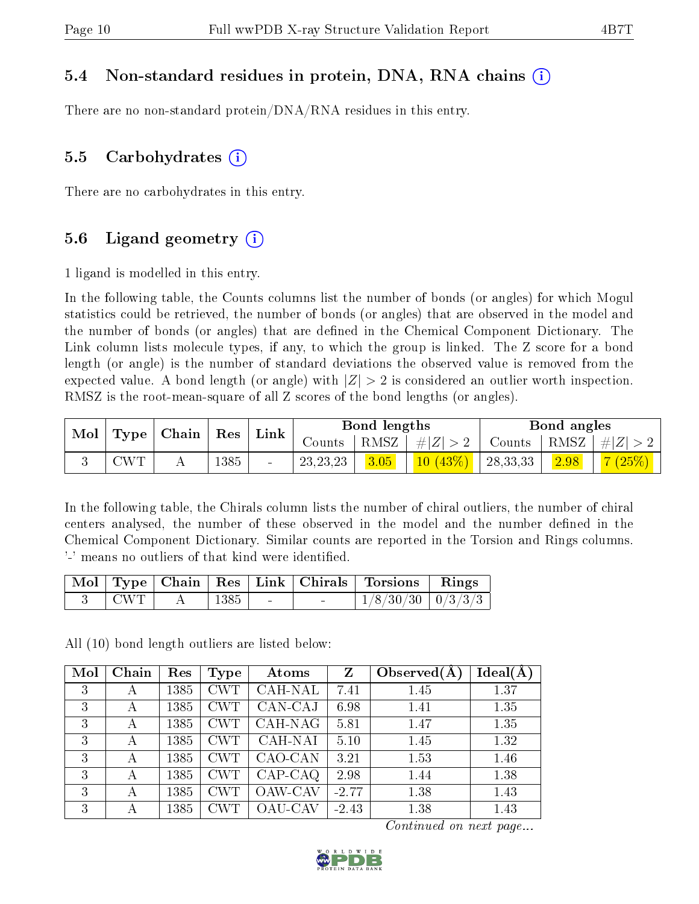### 5.4 Non-standard residues in protein, DNA, RNA chains (i)

There are no non-standard protein/DNA/RNA residues in this entry.

#### 5.5 Carbohydrates  $(i)$

There are no carbohydrates in this entry.

### 5.6 Ligand geometry  $(i)$

1 ligand is modelled in this entry.

In the following table, the Counts columns list the number of bonds (or angles) for which Mogul statistics could be retrieved, the number of bonds (or angles) that are observed in the model and the number of bonds (or angles) that are dened in the Chemical Component Dictionary. The Link column lists molecule types, if any, to which the group is linked. The Z score for a bond length (or angle) is the number of standard deviations the observed value is removed from the expected value. A bond length (or angle) with  $|Z| > 2$  is considered an outlier worth inspection. RMSZ is the root-mean-square of all Z scores of the bond lengths (or angles).

| Mol | Type                      | Chain |      | Link<br>Res    | <b>Bond lengths</b> |      |         | Bond angles |      |               |
|-----|---------------------------|-------|------|----------------|---------------------|------|---------|-------------|------|---------------|
|     |                           |       |      |                | Counts              | RMSZ | Z <br># | Counts      | RMSZ | $\ E\ $       |
|     | $\mathbb{C}\mathrm{WT}^+$ |       | 1385 | $\blacksquare$ | 23, 23, 23          | 3.05 | 40      | 28, 33, 33  | 2.98 | $\sqrt{25\%}$ |

In the following table, the Chirals column lists the number of chiral outliers, the number of chiral centers analysed, the number of these observed in the model and the number defined in the Chemical Component Dictionary. Similar counts are reported in the Torsion and Rings columns. '-' means no outliers of that kind were identified.

|                 |                      |        | Mol   Type   Chain   Res   Link   Chirals   Torsions   Rings |  |
|-----------------|----------------------|--------|--------------------------------------------------------------|--|
| $\pm$ CWT $\pm$ | $\sim$ 1385   $\sim$ | $\sim$ | $1/8/30/30$   $0/3/3/3$                                      |  |

All (10) bond length outliers are listed below:

| Mol | Chain | Res  | <b>Type</b> | Atoms          | Z       | Observed $(A)$ | Ideal(A) |
|-----|-------|------|-------------|----------------|---------|----------------|----------|
| 3   | А     | 1385 | <b>CWT</b>  | CAH-NAL        | 7.41    | 1.45           | 1.37     |
| 3   | А     | 1385 | <b>CWT</b>  | CAN-CAJ        | 6.98    | 1.41           | 1.35     |
| 3   | А     | 1385 | <b>CWT</b>  | CAH-NAG        | 5.81    | 1.47           | 1.35     |
| 3   | А     | 1385 | <b>CWT</b>  | CAH-NAI        | 5.10    | 1.45           | 1.32     |
| 3   | А     | 1385 | <b>CWT</b>  | CAO-CAN        | 3.21    | 1.53           | 1.46     |
| 3   | А     | 1385 | <b>CWT</b>  | $CAP-CAQ$      | 2.98    | 1.44           | 1.38     |
| 3   | А     | 1385 | <b>CWT</b>  | <b>OAW-CAV</b> | $-2.77$ | 1.38           | 1.43     |
| 3   | А     | 1385 |             | OAU-CAV        | $-2.43$ | 1.38           | 1.43     |

Continued on next page...

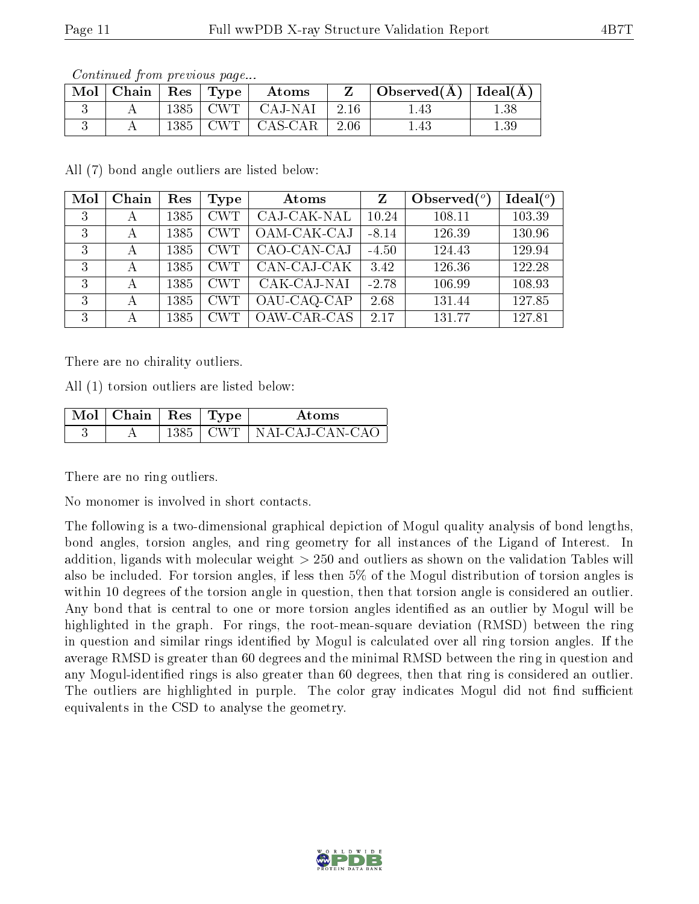| $\mid$ Mol $\mid$ Chain $\mid$ Res $\mid$ Type $\mid$ |  | Atoms                         | $\perp$ Observed(Å) $\parallel$ Ideal(Å) $\parallel$ |      |
|-------------------------------------------------------|--|-------------------------------|------------------------------------------------------|------|
|                                                       |  | $1385$   CWT   CAJ-NAI   2.16 | 1.43                                                 | 1.38 |
|                                                       |  | $1385$   CWT   CAS-CAR   2.06 | $1.43\,$                                             | 1.39 |

Continued from previous page...

All (7) bond angle outliers are listed below:

| Mol | Chain | Res  | Type       | Atoms         | $Z_{-}$ | Observed $(°)$ | $\text{Ideal}({}^o)$ |
|-----|-------|------|------------|---------------|---------|----------------|----------------------|
| 3   | А     | 1385 | <b>CWT</b> | CAJ-CAK-NAL   | 10.24   | 108.11         | 103.39               |
| 3   | А     | 1385 | <b>CWT</b> | $OAM-CAK-CAJ$ | $-8.14$ | 126.39         | 130.96               |
| 3   | А     | 1385 | <b>CWT</b> | CAO-CAN-CAJ   | $-4.50$ | 124.43         | 129.94               |
| 3   | А     | 1385 | <b>CWT</b> | CAN-CAJ-CAK   | 3.42    | 126.36         | 122.28               |
| 3   | А     | 1385 | <b>CWT</b> | CAK-CAJ-NAI   | $-2.78$ | 106.99         | 108.93               |
| 3   | А     | 1385 | <b>CWT</b> | OAU-CAQ-CAP   | 2.68    | 131.44         | 127.85               |
| 3   |       | 1385 | <b>CWT</b> | OAW-CAR-CAS   | 2.17    | 131.77         | 127.81               |

There are no chirality outliers.

All (1) torsion outliers are listed below:

| $\Delta$ Mol   Chain   Res   Type $\Delta$ |  | Atoms                          |
|--------------------------------------------|--|--------------------------------|
|                                            |  | $1385$   CWT   NAI-CAJ-CAN-CAO |

There are no ring outliers.

No monomer is involved in short contacts.

The following is a two-dimensional graphical depiction of Mogul quality analysis of bond lengths, bond angles, torsion angles, and ring geometry for all instances of the Ligand of Interest. In addition, ligands with molecular weight > 250 and outliers as shown on the validation Tables will also be included. For torsion angles, if less then 5% of the Mogul distribution of torsion angles is within 10 degrees of the torsion angle in question, then that torsion angle is considered an outlier. Any bond that is central to one or more torsion angles identified as an outlier by Mogul will be highlighted in the graph. For rings, the root-mean-square deviation (RMSD) between the ring in question and similar rings identified by Mogul is calculated over all ring torsion angles. If the average RMSD is greater than 60 degrees and the minimal RMSD between the ring in question and any Mogul-identified rings is also greater than 60 degrees, then that ring is considered an outlier. The outliers are highlighted in purple. The color gray indicates Mogul did not find sufficient equivalents in the CSD to analyse the geometry.

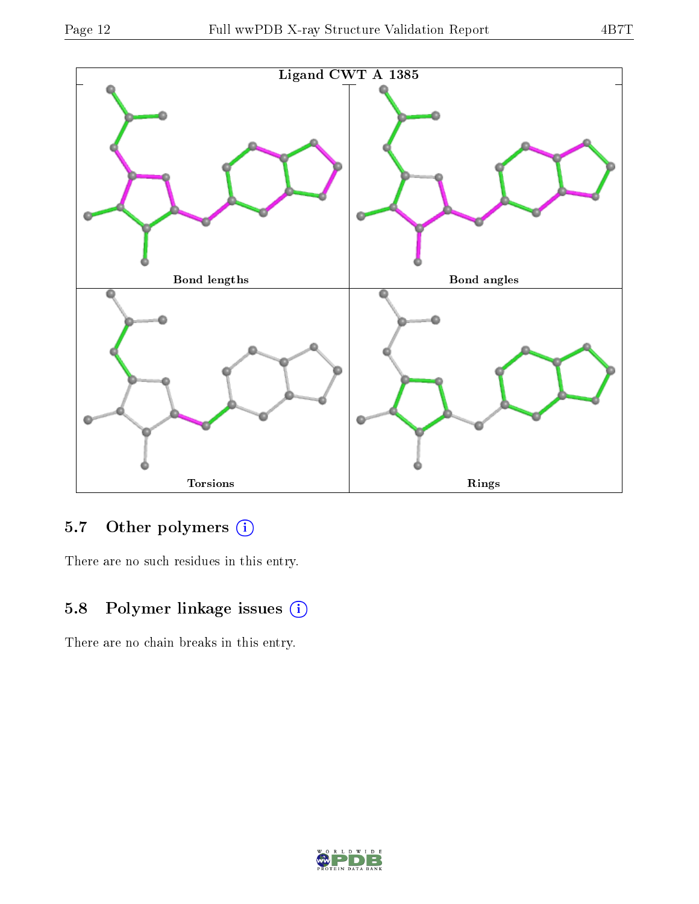

### 5.7 [O](https://www.wwpdb.org/validation/2017/XrayValidationReportHelp#nonstandard_residues_and_ligands)ther polymers (i)

There are no such residues in this entry.

### 5.8 Polymer linkage issues (i)

There are no chain breaks in this entry.

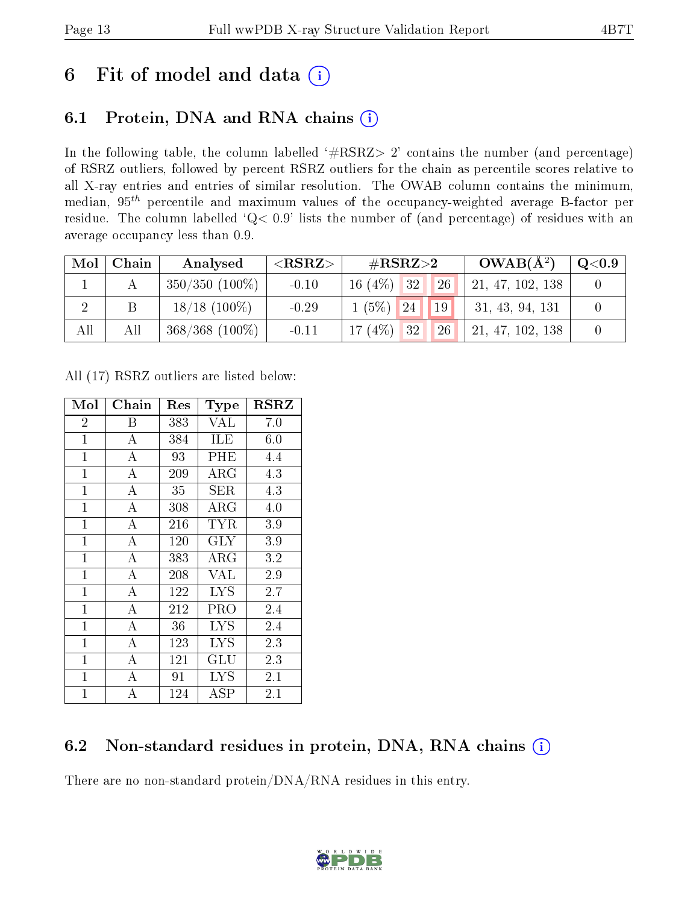## 6 Fit of model and data  $(i)$

## 6.1 Protein, DNA and RNA chains  $(i)$

In the following table, the column labelled  $#RSRZ> 2'$  contains the number (and percentage) of RSRZ outliers, followed by percent RSRZ outliers for the chain as percentile scores relative to all X-ray entries and entries of similar resolution. The OWAB column contains the minimum, median,  $95<sup>th</sup>$  percentile and maximum values of the occupancy-weighted average B-factor per residue. The column labelled ' $Q< 0.9$ ' lists the number of (and percentage) of residues with an average occupancy less than 0.9.

| Mol | Chain | Analysed            | ${ <\hspace{-1.5pt}{\mathrm{RSRZ}} \hspace{-1.5pt}>}$ | $\#\text{RSRZ}\text{>2}$ | $OWAB(A^2)$      | $\rm Q\textcolor{black}{<}0.9$ |
|-----|-------|---------------------|-------------------------------------------------------|--------------------------|------------------|--------------------------------|
|     |       | $350/350$ $(100\%)$ | $-0.10$                                               | $16(4\%)$ 32<br>26       | 21, 47, 102, 138 |                                |
|     |       | $18/18$ (100\%)     | $-0.29$                                               | (5%)<br>19<br>24         | 31, 43, 94, 131  |                                |
| All | All   | $368/368$ (100%)    | $-0.11$                                               | $17(4\%)$ 32<br>26       | 21, 47, 102, 138 |                                |

All (17) RSRZ outliers are listed below:

| Mol            | ${\rm Chain}$      | Res | <b>Type</b>          | $_{\rm RSRZ}$ |
|----------------|--------------------|-----|----------------------|---------------|
| $\overline{2}$ | Β                  | 383 | <b>VAL</b>           | 7.0           |
| $\mathbf{1}$   | $\bf{A}$           | 384 | ILE                  | 6.0           |
| $\mathbf{1}$   | $\overline{\rm A}$ | 93  | PHE                  | 4.4           |
| $\mathbf{1}$   | $\overline{A}$     | 209 | $\rm{ARG}$           | 4.3           |
| $\mathbf{1}$   | $\bf{A}$           | 35  | ${\rm SER}$          | 4.3           |
| $\mathbf{1}$   | $\overline{A}$     | 308 | $\rm{ARG}$           | 4.0           |
| $\mathbf{1}$   | $\overline{A}$     | 216 | TYR                  | 3.9           |
| $\mathbf{1}$   | $\overline{\rm A}$ | 120 | GLY                  | 3.9           |
| $\mathbf{1}$   | $\overline{A}$     | 383 | ${\rm ARG}$          | 3.2           |
| $\mathbf{1}$   | $\overline{\rm A}$ | 208 | <b>VAL</b>           | 2.9           |
| $\mathbf{1}$   | $\bf{A}$           | 122 | <b>LYS</b>           | 2.7           |
| $\mathbf{1}$   | $\overline{\rm A}$ | 212 | PRO                  | 2.4           |
| $\mathbf{1}$   | $\overline{\rm A}$ | 36  | <b>LYS</b>           | 2.4           |
| $\mathbf{1}$   | $\bf{A}$           | 123 | <b>LYS</b>           | 2.3           |
| $\mathbf{1}$   | $\overline{\rm A}$ | 121 | $\operatorname{GLU}$ | 2.3           |
| $\mathbf 1$    | А                  | 91  | LYS                  | 2.1           |
| $\mathbf{1}$   | А                  | 124 | ${\rm ASP}$          | $2.1\,$       |

### 6.2 Non-standard residues in protein, DNA, RNA chains  $(i)$

There are no non-standard protein/DNA/RNA residues in this entry.

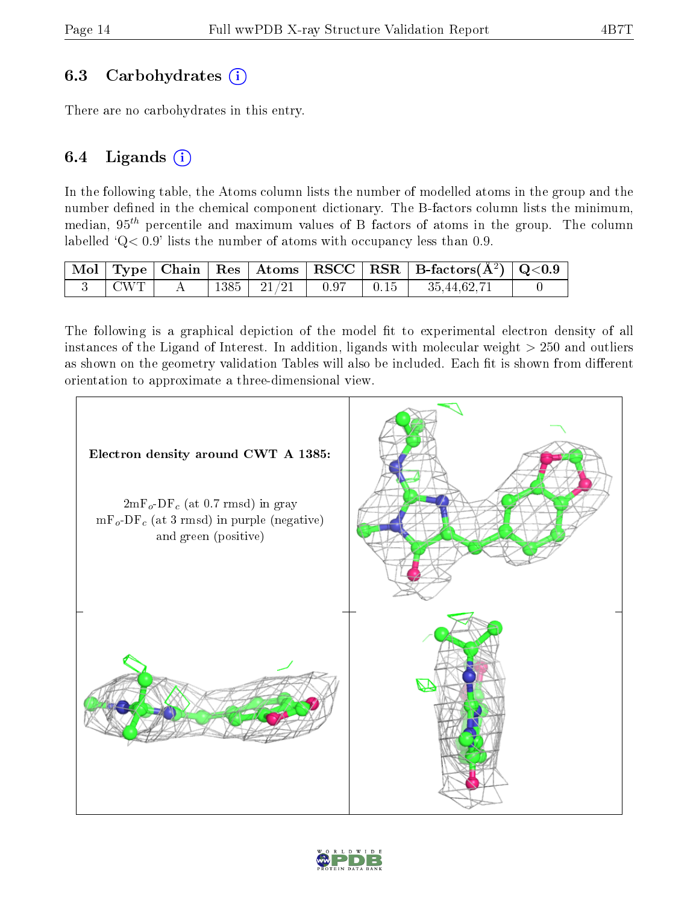### 6.3 Carbohydrates (i)

There are no carbohydrates in this entry.

#### 6.4 Ligands  $(i)$

In the following table, the Atoms column lists the number of modelled atoms in the group and the number defined in the chemical component dictionary. The B-factors column lists the minimum, median,  $95<sup>th</sup>$  percentile and maximum values of B factors of atoms in the group. The column labelled  $Q < 0.9$ ' lists the number of atoms with occupancy less than 0.9.

|                           |  |  | $\boxed{\text{ Mol } \text{ Type } $ Chain $ \text{ Res } $ Atoms $ \text{ RSCC } $ RSR $ \text{ B-factors}(\AA^2) $ Q<0.9 |  |
|---------------------------|--|--|----------------------------------------------------------------------------------------------------------------------------|--|
| $^{\circ}$ CWT $_{\odot}$ |  |  |                                                                                                                            |  |

The following is a graphical depiction of the model fit to experimental electron density of all instances of the Ligand of Interest. In addition, ligands with molecular weight  $> 250$  and outliers as shown on the geometry validation Tables will also be included. Each fit is shown from different orientation to approximate a three-dimensional view.